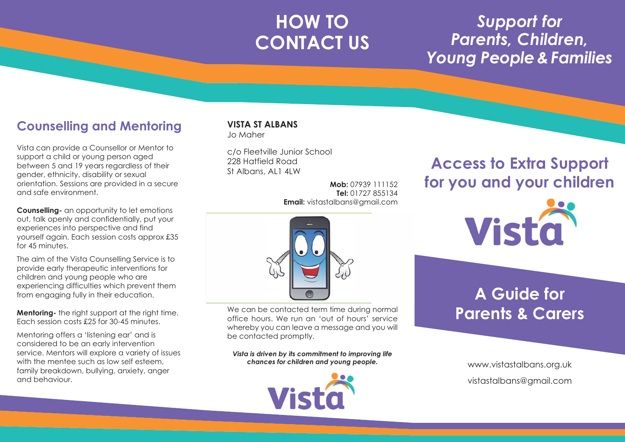### **HOW TO CONTACT US**

### *Support for Parents, Children, Young People & Families*

#### **Counselling and Mentoring**

Vista can provide a Counsellor or Mentor to support a child or young person aged between 5 and 19 years regardless of their gender, ethnicity, disability or sexual orientation. Sessions are provided in a secure and safe environment.

**Counselling-** an opportunity to let emotions out, talk openly and confidentially, put your experiences into perspective and find yourself again. Each session costs approx £35 for  $45$  minutes.

The aim of the Vista Counselling Service is to provide early therapeutic interventions for children and young people who are experiencing difficulties which prevent them from engaging fully in their education.

**Mentoring-** the right support at the right time. Each session costs £25 for 30-45 minutes.

Mentoring offers a 'listening ear' and is considered to be an early intervention service. Mentors will explore a variety of issues with the mentee such as low self esteem. family breakdown, bullying, anxiety, anger and behaviour.

#### **VISTA ST ALBANS** Jo Maher

c/o Fleetville Junior School 228 Hatfield Road St Albans, AL1 4LW

be contacted promptly.

**Mob:** 07939 111152 **Tel:** 01727 855134 **Email:** vistastalbans@gmail.com

### **Access to Extra Support for you and your children**



### **A Guide for Parents & Carers**

*Vista is driven by its commitment to improving life chances for children and young people.*

We can be contacted term time during normal office hours. We run an 'out of hours' service whereby you can leave a message and you will



www.vistastalbans.org.uk vistastalbans@gmail.com